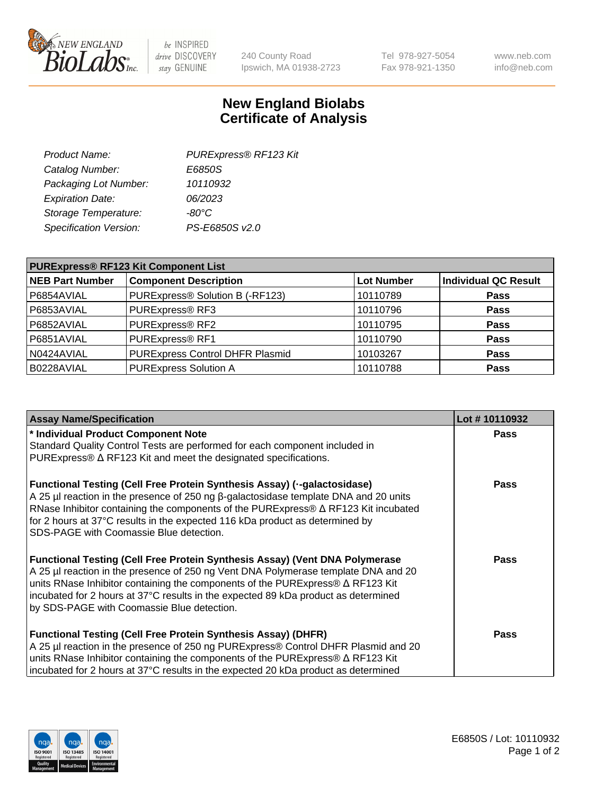

 $be$  INSPIRED drive DISCOVERY stay GENUINE

240 County Road Ipswich, MA 01938-2723 Tel 978-927-5054 Fax 978-921-1350 www.neb.com info@neb.com

## **New England Biolabs Certificate of Analysis**

| PURExpress® RF123 Kit |
|-----------------------|
| E6850S                |
| 10110932              |
| 06/2023               |
| $-80^{\circ}$ C       |
| PS-E6850S v2.0        |
|                       |

| <b>PURExpress® RF123 Kit Component List</b> |                                        |                   |                             |  |
|---------------------------------------------|----------------------------------------|-------------------|-----------------------------|--|
| <b>NEB Part Number</b>                      | <b>Component Description</b>           | <b>Lot Number</b> | <b>Individual QC Result</b> |  |
| P6854AVIAL                                  | PURExpress® Solution B (-RF123)        | 10110789          | <b>Pass</b>                 |  |
| P6853AVIAL                                  | PURExpress® RF3                        | 10110796          | <b>Pass</b>                 |  |
| P6852AVIAL                                  | PURExpress® RF2                        | 10110795          | <b>Pass</b>                 |  |
| P6851AVIAL                                  | PURExpress® RF1                        | 10110790          | <b>Pass</b>                 |  |
| N0424AVIAL                                  | <b>PURExpress Control DHFR Plasmid</b> | 10103267          | <b>Pass</b>                 |  |
| B0228AVIAL                                  | <b>PURExpress Solution A</b>           | 10110788          | <b>Pass</b>                 |  |

| <b>Assay Name/Specification</b>                                                                                                                                                                                                                                                                                                                                                                       | Lot #10110932 |
|-------------------------------------------------------------------------------------------------------------------------------------------------------------------------------------------------------------------------------------------------------------------------------------------------------------------------------------------------------------------------------------------------------|---------------|
| * Individual Product Component Note                                                                                                                                                                                                                                                                                                                                                                   | <b>Pass</b>   |
| Standard Quality Control Tests are performed for each component included in                                                                                                                                                                                                                                                                                                                           |               |
| PURExpress® $\Delta$ RF123 Kit and meet the designated specifications.                                                                                                                                                                                                                                                                                                                                |               |
| <b>Functional Testing (Cell Free Protein Synthesis Assay) (--galactosidase)</b><br>A 25 μl reaction in the presence of 250 ng β-galactosidase template DNA and 20 units<br>RNase Inhibitor containing the components of the PURExpress® $\Delta$ RF123 Kit incubated<br>for 2 hours at 37°C results in the expected 116 kDa product as determined by<br>SDS-PAGE with Coomassie Blue detection.       | <b>Pass</b>   |
| <b>Functional Testing (Cell Free Protein Synthesis Assay) (Vent DNA Polymerase</b><br>A 25 µl reaction in the presence of 250 ng Vent DNA Polymerase template DNA and 20<br>units RNase Inhibitor containing the components of the PURExpress® $\Delta$ RF123 Kit<br>incubated for 2 hours at 37°C results in the expected 89 kDa product as determined<br>by SDS-PAGE with Coomassie Blue detection. | Pass          |
| <b>Functional Testing (Cell Free Protein Synthesis Assay) (DHFR)</b><br>A 25 µl reaction in the presence of 250 ng PURExpress® Control DHFR Plasmid and 20<br>units RNase Inhibitor containing the components of the PURExpress® ∆ RF123 Kit<br>incubated for 2 hours at 37°C results in the expected 20 kDa product as determined                                                                    | Pass          |